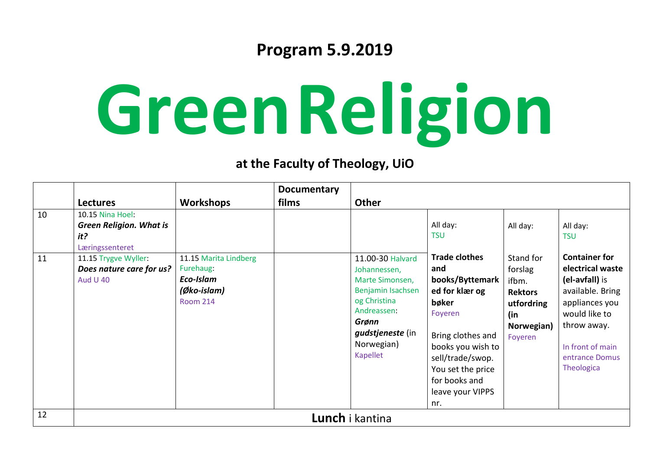## **Program 5.9.2019**

## **GreenReligion**

## **at the Faculty of Theology, UiO**

|    |                                                                              |                                                                                   | <b>Documentary</b> |                                                                                                                                                                |                                                                                                                                                                                                                     |                                                                                               |                                                                                                                                                                                      |  |  |
|----|------------------------------------------------------------------------------|-----------------------------------------------------------------------------------|--------------------|----------------------------------------------------------------------------------------------------------------------------------------------------------------|---------------------------------------------------------------------------------------------------------------------------------------------------------------------------------------------------------------------|-----------------------------------------------------------------------------------------------|--------------------------------------------------------------------------------------------------------------------------------------------------------------------------------------|--|--|
|    | <b>Lectures</b>                                                              | <b>Workshops</b>                                                                  | films              | <b>Other</b>                                                                                                                                                   |                                                                                                                                                                                                                     |                                                                                               |                                                                                                                                                                                      |  |  |
| 10 | 10.15 Nina Hoel:<br><b>Green Religion. What is</b><br>it?<br>Læringssenteret |                                                                                   |                    |                                                                                                                                                                | All day:<br><b>TSU</b>                                                                                                                                                                                              | All day:                                                                                      | All day:<br><b>TSU</b>                                                                                                                                                               |  |  |
| 11 | 11.15 Trygve Wyller:<br>Does nature care for us?<br><b>Aud U 40</b>          | 11.15 Marita Lindberg<br>Furehaug:<br>Eco-Islam<br>(Øko-islam)<br><b>Room 214</b> |                    | 11.00-30 Halvard<br>Johannessen,<br>Marte Simonsen,<br>Benjamin Isachsen<br>og Christina<br>Andreassen:<br>Grønn<br>gudstjeneste (in<br>Norwegian)<br>Kapellet | <b>Trade clothes</b><br>and<br>books/Byttemark<br>ed for klær og<br>bøker<br>Foyeren<br>Bring clothes and<br>books you wish to<br>sell/trade/swop.<br>You set the price<br>for books and<br>leave your VIPPS<br>nr. | Stand for<br>forslag<br>ifbm.<br><b>Rektors</b><br>utfordring<br>(in<br>Norwegian)<br>Foyeren | <b>Container for</b><br>electrical waste<br>(el-avfall) is<br>available. Bring<br>appliances you<br>would like to<br>throw away.<br>In front of main<br>entrance Domus<br>Theologica |  |  |
| 12 | <b>Lunch</b> i kantina                                                       |                                                                                   |                    |                                                                                                                                                                |                                                                                                                                                                                                                     |                                                                                               |                                                                                                                                                                                      |  |  |